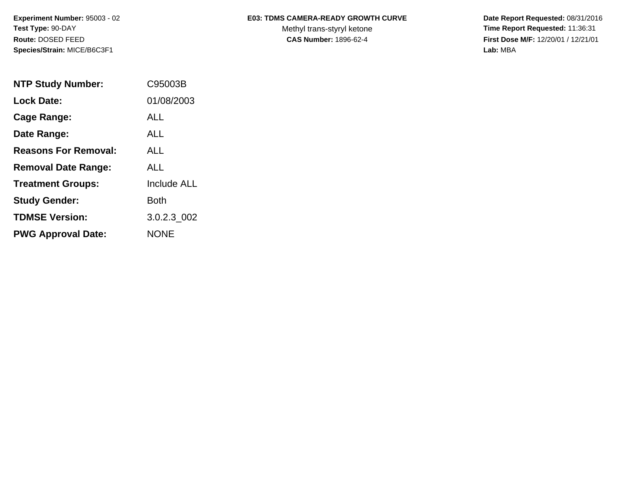**Species/Strain:** MICE/B6C3F1 **Lab:** MBA

## Experiment Number: 95003 - 02 **E03: TDMS CAMERA-READY GROWTH CURVE** Date Report Requested: 08/31/2016

Test Type: 90-DAY **The Report Requested: 11:36:31** Methyl trans-styryl ketone **Time Report Requested: 11:36:31 Route:** DOSED FEED **CAS Number:** 1896-62-4 **First Dose M/F:** 12/20/01 / 12/21/01

| <b>NTP Study Number:</b>    | C95003B            |
|-----------------------------|--------------------|
| <b>Lock Date:</b>           | 01/08/2003         |
| Cage Range:                 | ALL                |
| Date Range:                 | <b>ALL</b>         |
| <b>Reasons For Removal:</b> | ALL.               |
| <b>Removal Date Range:</b>  | ALL                |
| <b>Treatment Groups:</b>    | <b>Include ALL</b> |
| <b>Study Gender:</b>        | Both               |
| <b>TDMSE Version:</b>       | 3.0.2.3 002        |
| <b>PWG Approval Date:</b>   | <b>NONE</b>        |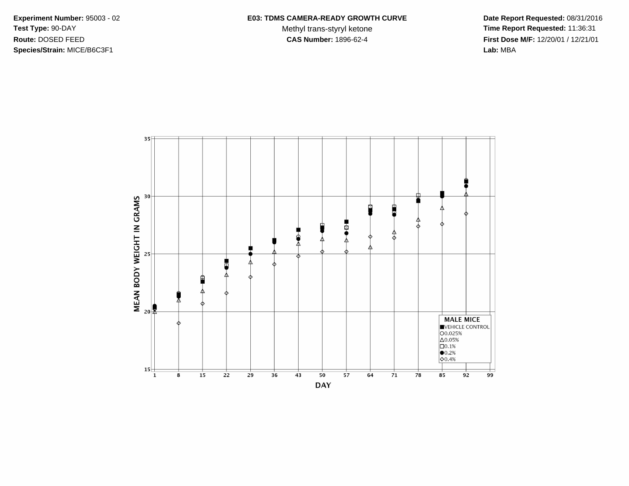**Species/Strain:** MICE/B6C3F1 **Lab:** MBA

## Experiment Number: 95003 - 02 **E03: TDMS CAMERA-READY GROWTH CURVE** Date Report Requested: 08/31/2016

**Test Type: 90-DAY** Methyl trans-styryl ketone **Time Report Requested:** 11:36:31 **Route:** DOSED FEED **CAS Number:** 1896-62-4 **First Dose M/F:** 12/20/01 / 12/21/01